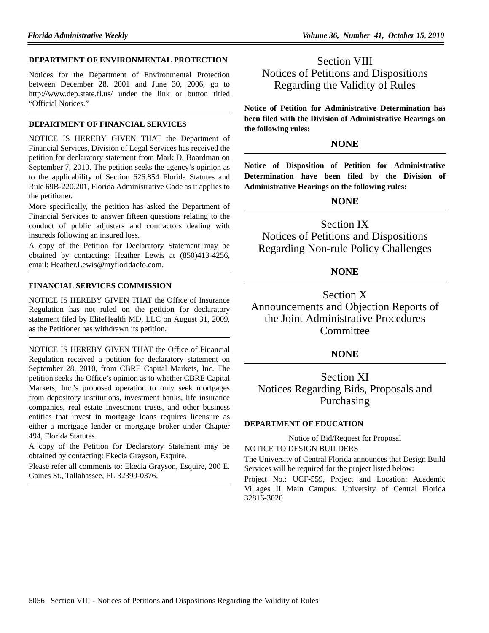#### **DEPARTMENT OF ENVIRONMENTAL PROTECTION**

Notices for the Department of Environmental Protection between December 28, 2001 and June 30, 2006, go to http://www.dep.state.fl.us/ under the link or button titled "Official Notices."

#### **DEPARTMENT OF FINANCIAL SERVICES**

NOTICE IS HEREBY GIVEN THAT the Department of Financial Services, Division of Legal Services has received the petition for declaratory statement from Mark D. Boardman on September 7, 2010. The petition seeks the agency's opinion as to the applicability of Section 626.854 Florida Statutes and Rule 69B-220.201, Florida Administrative Code as it applies to the petitioner.

More specifically, the petition has asked the Department of Financial Services to answer fifteen questions relating to the conduct of public adjusters and contractors dealing with insureds following an insured loss.

A copy of the Petition for Declaratory Statement may be obtained by contacting: Heather Lewis at (850)413-4256, email: Heather.Lewis@myfloridacfo.com.

## **FINANCIAL SERVICES COMMISSION**

NOTICE IS HEREBY GIVEN THAT the Office of Insurance Regulation has not ruled on the petition for declaratory statement filed by EliteHealth MD, LLC on August 31, 2009, as the Petitioner has withdrawn its petition.

NOTICE IS HEREBY GIVEN THAT the Office of Financial Regulation received a petition for declaratory statement on September 28, 2010, from CBRE Capital Markets, Inc. The petition seeks the Office's opinion as to whether CBRE Capital Markets, Inc.'s proposed operation to only seek mortgages from depository institutions, investment banks, life insurance companies, real estate investment trusts, and other business entities that invest in mortgage loans requires licensure as either a mortgage lender or mortgage broker under Chapter 494, Florida Statutes.

A copy of the Petition for Declaratory Statement may be obtained by contacting: Ekecia Grayson, Esquire.

Please refer all comments to: Ekecia Grayson, Esquire, 200 E. Gaines St., Tallahassee, FL 32399-0376.

Section VIII Notices of Petitions and Dispositions Regarding the Validity of Rules

**Notice of Petition for Administrative Determination has been filed with the Division of Administrative Hearings on the following rules:**

## **NONE**

**Notice of Disposition of Petition for Administrative Determination have been filed by the Division of Administrative Hearings on the following rules:**

# **NONE**

Section IX Notices of Petitions and Dispositions Regarding Non-rule Policy Challenges

# **NONE**

Section X Announcements and Objection Reports of the Joint Administrative Procedures **Committee** 

# **NONE**

Section XI Notices Regarding Bids, Proposals and Purchasing

## **DEPARTMENT OF EDUCATION**

Notice of Bid/Request for Proposal NOTICE TO DESIGN BUILDERS

The University of Central Florida announces that Design Build Services will be required for the project listed below:

Project No.: UCF-559, Project and Location: Academic Villages II Main Campus, University of Central Florida 32816-3020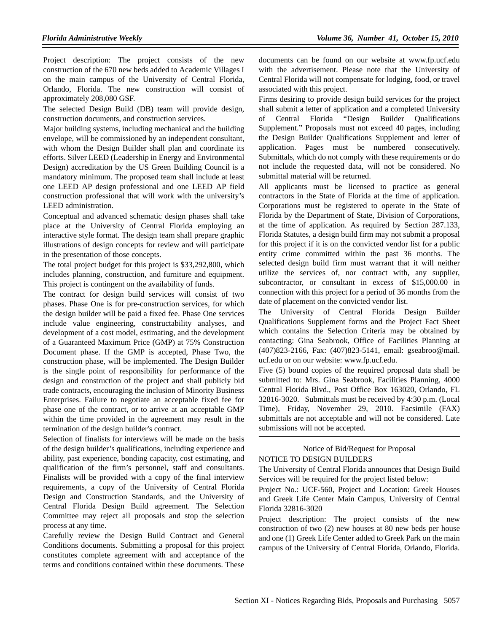Project description: The project consists of the new construction of the 670 new beds added to Academic Villages I on the main campus of the University of Central Florida, Orlando, Florida. The new construction will consist of approximately 208,080 GSF.

The selected Design Build (DB) team will provide design, construction documents, and construction services.

Major building systems, including mechanical and the building envelope, will be commissioned by an independent consultant, with whom the Design Builder shall plan and coordinate its efforts. Silver LEED (Leadership in Energy and Environmental Design) accreditation by the US Green Building Council is a mandatory minimum. The proposed team shall include at least one LEED AP design professional and one LEED AP field construction professional that will work with the university's LEED administration.

Conceptual and advanced schematic design phases shall take place at the University of Central Florida employing an interactive style format. The design team shall prepare graphic illustrations of design concepts for review and will participate in the presentation of those concepts.

The total project budget for this project is \$33,292,800, which includes planning, construction, and furniture and equipment. This project is contingent on the availability of funds.

The contract for design build services will consist of two phases. Phase One is for pre-construction services, for which the design builder will be paid a fixed fee. Phase One services include value engineering, constructability analyses, and development of a cost model, estimating, and the development of a Guaranteed Maximum Price (GMP) at 75% Construction Document phase. If the GMP is accepted, Phase Two, the construction phase, will be implemented. The Design Builder is the single point of responsibility for performance of the design and construction of the project and shall publicly bid trade contracts, encouraging the inclusion of Minority Business Enterprises. Failure to negotiate an acceptable fixed fee for phase one of the contract, or to arrive at an acceptable GMP within the time provided in the agreement may result in the termination of the design builder's contract.

Selection of finalists for interviews will be made on the basis of the design builder's qualifications, including experience and ability, past experience, bonding capacity, cost estimating, and qualification of the firm's personnel, staff and consultants. Finalists will be provided with a copy of the final interview requirements, a copy of the University of Central Florida Design and Construction Standards, and the University of Central Florida Design Build agreement. The Selection Committee may reject all proposals and stop the selection process at any time.

Carefully review the Design Build Contract and General Conditions documents. Submitting a proposal for this project constitutes complete agreement with and acceptance of the terms and conditions contained within these documents. These documents can be found on our website at www.fp.ucf.edu with the advertisement. Please note that the University of Central Florida will not compensate for lodging, food, or travel associated with this project.

Firms desiring to provide design build services for the project shall submit a letter of application and a completed University of Central Florida "Design Builder Qualifications Supplement." Proposals must not exceed 40 pages, including the Design Builder Qualifications Supplement and letter of application. Pages must be numbered consecutively. Submittals, which do not comply with these requirements or do not include the requested data, will not be considered. No submittal material will be returned.

All applicants must be licensed to practice as general contractors in the State of Florida at the time of application. Corporations must be registered to operate in the State of Florida by the Department of State, Division of Corporations, at the time of application. As required by Section 287.133, Florida Statutes, a design build firm may not submit a proposal for this project if it is on the convicted vendor list for a public entity crime committed within the past 36 months. The selected design build firm must warrant that it will neither utilize the services of, nor contract with, any supplier, subcontractor, or consultant in excess of \$15,000.00 in connection with this project for a period of 36 months from the date of placement on the convicted vendor list.

The University of Central Florida Design Builder Qualifications Supplement forms and the Project Fact Sheet which contains the Selection Criteria may be obtained by contacting: Gina Seabrook, Office of Facilities Planning at (407)823-2166, Fax: (407)823-5141, email: gseabroo@mail. ucf.edu or on our website: www.fp.ucf.edu.

Five (5) bound copies of the required proposal data shall be submitted to: Mrs. Gina Seabrook, Facilities Planning, 4000 Central Florida Blvd., Post Office Box 163020, Orlando, FL 32816-3020. Submittals must be received by 4:30 p.m. (Local Time), Friday, November 29, 2010. Facsimile (FAX) submittals are not acceptable and will not be considered. Late submissions will not be accepted.

#### Notice of Bid/Request for Proposal NOTICE TO DESIGN BUILDERS

The University of Central Florida announces that Design Build Services will be required for the project listed below:

Project No.: UCF-560, Project and Location: Greek Houses and Greek Life Center Main Campus, University of Central Florida 32816-3020

Project description: The project consists of the new construction of two (2) new houses at 80 new beds per house and one (1) Greek Life Center added to Greek Park on the main campus of the University of Central Florida, Orlando, Florida.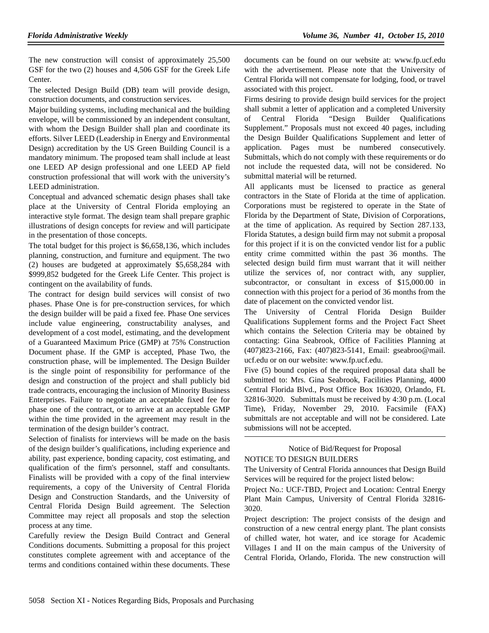The new construction will consist of approximately 25,500 GSF for the two (2) houses and 4,506 GSF for the Greek Life Center.

The selected Design Build (DB) team will provide design, construction documents, and construction services.

Major building systems, including mechanical and the building envelope, will be commissioned by an independent consultant, with whom the Design Builder shall plan and coordinate its efforts. Silver LEED (Leadership in Energy and Environmental Design) accreditation by the US Green Building Council is a mandatory minimum. The proposed team shall include at least one LEED AP design professional and one LEED AP field construction professional that will work with the university's LEED administration.

Conceptual and advanced schematic design phases shall take place at the University of Central Florida employing an interactive style format. The design team shall prepare graphic illustrations of design concepts for review and will participate in the presentation of those concepts.

The total budget for this project is \$6,658,136, which includes planning, construction, and furniture and equipment. The two (2) houses are budgeted at approximately \$5,658,284 with \$999,852 budgeted for the Greek Life Center. This project is contingent on the availability of funds.

The contract for design build services will consist of two phases. Phase One is for pre-construction services, for which the design builder will be paid a fixed fee. Phase One services include value engineering, constructability analyses, and development of a cost model, estimating, and the development of a Guaranteed Maximum Price (GMP) at 75% Construction Document phase. If the GMP is accepted, Phase Two, the construction phase, will be implemented. The Design Builder is the single point of responsibility for performance of the design and construction of the project and shall publicly bid trade contracts, encouraging the inclusion of Minority Business Enterprises. Failure to negotiate an acceptable fixed fee for phase one of the contract, or to arrive at an acceptable GMP within the time provided in the agreement may result in the termination of the design builder's contract.

Selection of finalists for interviews will be made on the basis of the design builder's qualifications, including experience and ability, past experience, bonding capacity, cost estimating, and qualification of the firm's personnel, staff and consultants. Finalists will be provided with a copy of the final interview requirements, a copy of the University of Central Florida Design and Construction Standards, and the University of Central Florida Design Build agreement. The Selection Committee may reject all proposals and stop the selection process at any time.

Carefully review the Design Build Contract and General Conditions documents. Submitting a proposal for this project constitutes complete agreement with and acceptance of the terms and conditions contained within these documents. These documents can be found on our website at: www.fp.ucf.edu with the advertisement. Please note that the University of Central Florida will not compensate for lodging, food, or travel associated with this project.

Firms desiring to provide design build services for the project shall submit a letter of application and a completed University of Central Florida "Design Builder Qualifications Supplement." Proposals must not exceed 40 pages, including the Design Builder Qualifications Supplement and letter of application. Pages must be numbered consecutively. Submittals, which do not comply with these requirements or do not include the requested data, will not be considered. No submittal material will be returned.

All applicants must be licensed to practice as general contractors in the State of Florida at the time of application. Corporations must be registered to operate in the State of Florida by the Department of State, Division of Corporations, at the time of application. As required by Section 287.133, Florida Statutes, a design build firm may not submit a proposal for this project if it is on the convicted vendor list for a public entity crime committed within the past 36 months. The selected design build firm must warrant that it will neither utilize the services of, nor contract with, any supplier, subcontractor, or consultant in excess of \$15,000.00 in connection with this project for a period of 36 months from the date of placement on the convicted vendor list.

The University of Central Florida Design Builder Qualifications Supplement forms and the Project Fact Sheet which contains the Selection Criteria may be obtained by contacting: Gina Seabrook, Office of Facilities Planning at (407)823-2166, Fax: (407)823-5141, Email: gseabroo@mail. ucf.edu or on our website: www.fp.ucf.edu.

Five (5) bound copies of the required proposal data shall be submitted to: Mrs. Gina Seabrook, Facilities Planning, 4000 Central Florida Blvd., Post Office Box 163020, Orlando, FL 32816-3020. Submittals must be received by 4:30 p.m. (Local Time), Friday, November 29, 2010. Facsimile (FAX) submittals are not acceptable and will not be considered. Late submissions will not be accepted.

#### Notice of Bid/Request for Proposal NOTICE TO DESIGN BUILDERS

The University of Central Florida announces that Design Build Services will be required for the project listed below:

Project No.: UCF-TBD, Project and Location: Central Energy Plant Main Campus, University of Central Florida 32816- 3020.

Project description: The project consists of the design and construction of a new central energy plant. The plant consists of chilled water, hot water, and ice storage for Academic Villages I and II on the main campus of the University of Central Florida, Orlando, Florida. The new construction will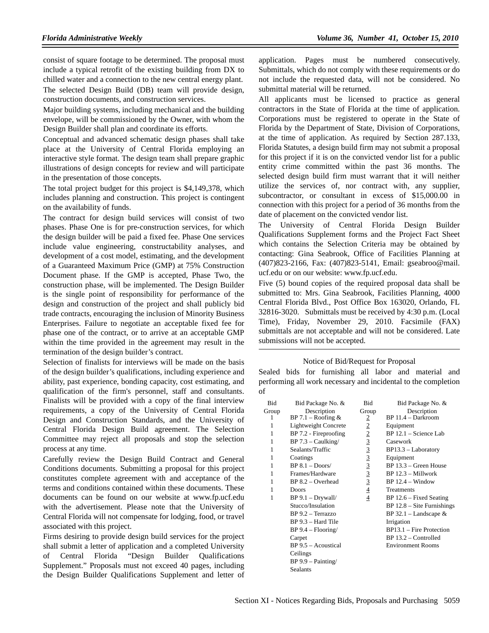consist of square footage to be determined. The proposal must include a typical retrofit of the existing building from DX to chilled water and a connection to the new central energy plant. The selected Design Build (DB) team will provide design, construction documents, and construction services.

Major building systems, including mechanical and the building envelope, will be commissioned by the Owner, with whom the Design Builder shall plan and coordinate its efforts.

Conceptual and advanced schematic design phases shall take place at the University of Central Florida employing an interactive style format. The design team shall prepare graphic illustrations of design concepts for review and will participate in the presentation of those concepts.

The total project budget for this project is \$4,149,378, which includes planning and construction. This project is contingent on the availability of funds.

The contract for design build services will consist of two phases. Phase One is for pre-construction services, for which the design builder will be paid a fixed fee. Phase One services include value engineering, constructability analyses, and development of a cost model, estimating, and the development of a Guaranteed Maximum Price (GMP) at 75% Construction Document phase. If the GMP is accepted, Phase Two, the construction phase, will be implemented. The Design Builder is the single point of responsibility for performance of the design and construction of the project and shall publicly bid trade contracts, encouraging the inclusion of Minority Business Enterprises. Failure to negotiate an acceptable fixed fee for phase one of the contract, or to arrive at an acceptable GMP within the time provided in the agreement may result in the termination of the design builder's contract.

Selection of finalists for interviews will be made on the basis of the design builder's qualifications, including experience and ability, past experience, bonding capacity, cost estimating, and qualification of the firm's personnel, staff and consultants. Finalists will be provided with a copy of the final interview requirements, a copy of the University of Central Florida Design and Construction Standards, and the University of Central Florida Design Build agreement. The Selection Committee may reject all proposals and stop the selection process at any time.

Carefully review the Design Build Contract and General Conditions documents. Submitting a proposal for this project constitutes complete agreement with and acceptance of the terms and conditions contained within these documents. These documents can be found on our website at www.fp.ucf.edu with the advertisement. Please note that the University of Central Florida will not compensate for lodging, food, or travel associated with this project.

Firms desiring to provide design build services for the project shall submit a letter of application and a completed University of Central Florida "Design Builder Qualifications Supplement." Proposals must not exceed 40 pages, including the Design Builder Qualifications Supplement and letter of application. Pages must be numbered consecutively. Submittals, which do not comply with these requirements or do not include the requested data, will not be considered. No submittal material will be returned.

All applicants must be licensed to practice as general contractors in the State of Florida at the time of application. Corporations must be registered to operate in the State of Florida by the Department of State, Division of Corporations, at the time of application. As required by Section 287.133, Florida Statutes, a design build firm may not submit a proposal for this project if it is on the convicted vendor list for a public entity crime committed within the past 36 months. The selected design build firm must warrant that it will neither utilize the services of, nor contract with, any supplier, subcontractor, or consultant in excess of \$15,000.00 in connection with this project for a period of 36 months from the date of placement on the convicted vendor list.

The University of Central Florida Design Builder Qualifications Supplement forms and the Project Fact Sheet which contains the Selection Criteria may be obtained by contacting: Gina Seabrook, Office of Facilities Planning at (407)823-2166, Fax: (407)823-5141, Email: gseabroo@mail. ucf.edu or on our website: www.fp.ucf.edu.

Five (5) bound copies of the required proposal data shall be submitted to: Mrs. Gina Seabrook, Facilities Planning, 4000 Central Florida Blvd., Post Office Box 163020, Orlando, FL 32816-3020. Submittals must be received by 4:30 p.m. (Local Time), Friday, November 29, 2010. Facsimile (FAX) submittals are not acceptable and will not be considered. Late submissions will not be accepted.

#### Notice of Bid/Request for Proposal

Sealed bids for furnishing all labor and material and performing all work necessary and incidental to the completion of

| <b>Bid</b> | Bid Package No. &       | <b>Bid</b>     | Bid Package No. &            |
|------------|-------------------------|----------------|------------------------------|
| Group      | Description             | Group          | Description                  |
| 1          | BP 7.1 – Roofing $&$    | $\overline{2}$ | BP 11.4 - Darkroom           |
| 1          | Lightweight Concrete    | $\overline{2}$ | Equipment                    |
| 1          | $BP 7.2$ - Fireproofing | $\overline{2}$ | $BP 12.1 - Science Lab$      |
| 1          | $BP 7.3 - Caulking/$    | $\overline{3}$ | Casework                     |
| 1          | Sealants/Traffic        | $\overline{3}$ | $BP13.3 - Laboratory$        |
| 1          | Coatings                |                | Equipment                    |
| 1          | $BP 8.1 - Doors/$       | $\frac{3}{3}$  | BP 13.3 - Green House        |
| 1          | Frames/Hardware         |                | $BP$ 12.3 – Millwork         |
| 1          | $BP 8.2 - Overhead$     | $\overline{3}$ | $BP 12.4 - Window$           |
| 1          | Doors                   | $\overline{4}$ | Treatments                   |
| 1          | $BP 9.1 - Drywall/$     | $\overline{4}$ | $BP 12.6 - Fixed Setting$    |
|            | Stucco/Insulation       |                | $BP$ 12.8 – Site Furnishings |
|            | BP 9.2 - Terrazzo       |                | BP 32.1 – Landscape $&$      |
|            | $BP$ 9.3 – Hard Tile    |                | Irrigation                   |
|            | $BP 9.4 - Flooring/$    |                | $BP13.1$ – Fire Protection   |
|            | Carpet                  |                | $BP 13.2 - Controlled$       |
|            | $BP 9.5 - Acoustical$   |                | <b>Environment Rooms</b>     |
|            | Ceilings                |                |                              |
|            | $BP 9.9 - Painting/$    |                |                              |
|            | <b>Sealants</b>         |                |                              |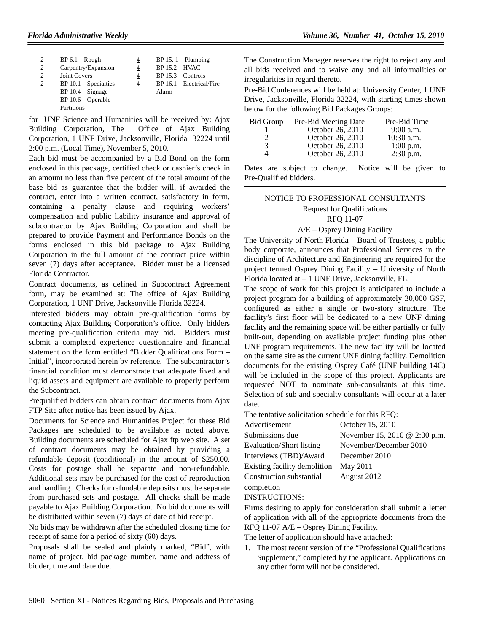| $\overline{2}$ | $BP 6.1 - Rough$        | 4 | $BP 15.1 - Plumbing$        |
|----------------|-------------------------|---|-----------------------------|
| 2              | Carpentry/Expansion     | 4 | $BP 15.2 - HVAC$            |
| 2              | <b>Joint Covers</b>     | 4 | $BP 15.3 - Controls$        |
| $\overline{c}$ | $BP 10.1 - Specialties$ | 4 | $BP 16.1 - Electrical/Fire$ |
|                | $BP 10.4 - Signage$     |   | Alarm                       |
|                | $BP 10.6 - Operable$    |   |                             |
|                | Partitions              |   |                             |

for UNF Science and Humanities will be received by: Ajax Building Corporation, The Office of Ajax Building Corporation, 1 UNF Drive, Jacksonville, Florida 32224 until 2:00 p.m. (Local Time), November 5, 2010.

Each bid must be accompanied by a Bid Bond on the form enclosed in this package, certified check or cashier's check in an amount no less than five percent of the total amount of the base bid as guarantee that the bidder will, if awarded the contract, enter into a written contract, satisfactory in form, containing a penalty clause and requiring workers' compensation and public liability insurance and approval of subcontractor by Ajax Building Corporation and shall be prepared to provide Payment and Performance Bonds on the forms enclosed in this bid package to Ajax Building Corporation in the full amount of the contract price within seven (7) days after acceptance. Bidder must be a licensed Florida Contractor.

Contract documents, as defined in Subcontract Agreement form, may be examined at: The office of Ajax Building Corporation, 1 UNF Drive, Jacksonville Florida 32224.

Interested bidders may obtain pre-qualification forms by contacting Ajax Building Corporation's office. Only bidders meeting pre-qualification criteria may bid. Bidders must submit a completed experience questionnaire and financial statement on the form entitled "Bidder Qualifications Form – Initial", incorporated herein by reference. The subcontractor's financial condition must demonstrate that adequate fixed and liquid assets and equipment are available to properly perform the Subcontract.

Prequalified bidders can obtain contract documents from Ajax FTP Site after notice has been issued by Ajax.

Documents for Science and Humanities Project for these Bid Packages are scheduled to be available as noted above. Building documents are scheduled for Ajax ftp web site. A set of contract documents may be obtained by providing a refundable deposit (conditional) in the amount of \$250.00. Costs for postage shall be separate and non-refundable. Additional sets may be purchased for the cost of reproduction and handling. Checks for refundable deposits must be separate from purchased sets and postage. All checks shall be made payable to Ajax Building Corporation. No bid documents will be distributed within seven (7) days of date of bid receipt.

No bids may be withdrawn after the scheduled closing time for receipt of same for a period of sixty (60) days.

Proposals shall be sealed and plainly marked, "Bid", with name of project, bid package number, name and address of bidder, time and date due.

The Construction Manager reserves the right to reject any and all bids received and to waive any and all informalities or irregularities in regard thereto.

Pre-Bid Conferences will be held at: University Center, 1 UNF Drive, Jacksonville, Florida 32224, with starting times shown below for the following Bid Packages Groups:

| Bid Group | Pre-Bid Meeting Date | Pre-Bid Time |
|-----------|----------------------|--------------|
|           | October 26, 2010     | $9:00$ a.m.  |
|           | October 26, 2010     | $10:30$ a.m. |
| 3         | October 26, 2010     | $1:00$ p.m.  |
|           | October 26, 2010     | $2:30$ p.m.  |
|           |                      |              |

Dates are subject to change. Notice will be given to Pre-Qualified bidders.

## NOTICE TO PROFESSIONAL CONSULTANTS Request for Qualifications RFQ 11-07

#### A/E – Osprey Dining Facility

The University of North Florida – Board of Trustees, a public body corporate, announces that Professional Services in the discipline of Architecture and Engineering are required for the project termed Osprey Dining Facility – University of North Florida located at – 1 UNF Drive, Jacksonville, FL.

The scope of work for this project is anticipated to include a project program for a building of approximately 30,000 GSF, configured as either a single or two-story structure. The facility's first floor will be dedicated to a new UNF dining facility and the remaining space will be either partially or fully built-out, depending on available project funding plus other UNF program requirements. The new facility will be located on the same site as the current UNF dining facility. Demolition documents for the existing Osprey Café (UNF building 14C) will be included in the scope of this project. Applicants are requested NOT to nominate sub-consultants at this time. Selection of sub and specialty consultants will occur at a later date.

The tentative solicitation schedule for this RFQ:

| Advertisement                | October 15, 2010              |
|------------------------------|-------------------------------|
| Submissions due              | November 15, 2010 @ 2:00 p.m. |
| Evaluation/Short listing     | November/December 2010        |
| Interviews (TBD)/Award       | December 2010                 |
| Existing facility demolition | May 2011                      |
| Construction substantial     | August 2012                   |
| completion                   |                               |

INSTRUCTIONS:

Firms desiring to apply for consideration shall submit a letter of application with all of the appropriate documents from the RFQ 11-07 A/E – Osprey Dining Facility.

The letter of application should have attached:

1. The most recent version of the "Professional Qualifications Supplement," completed by the applicant. Applications on any other form will not be considered.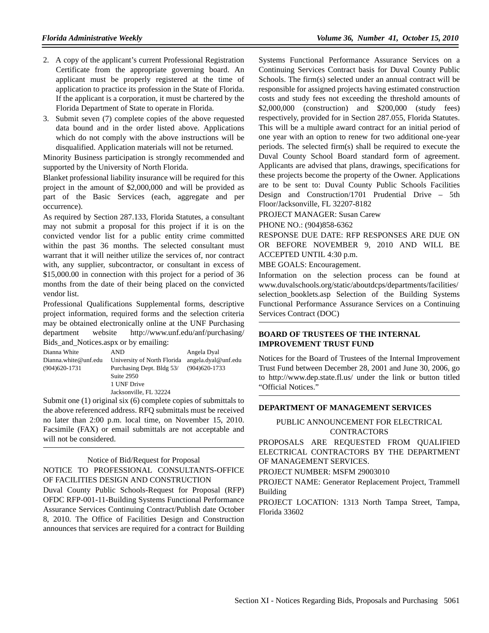- 2. A copy of the applicant's current Professional Registration Certificate from the appropriate governing board. An applicant must be properly registered at the time of application to practice its profession in the State of Florida. If the applicant is a corporation, it must be chartered by the Florida Department of State to operate in Florida.
- 3. Submit seven (7) complete copies of the above requested data bound and in the order listed above. Applications which do not comply with the above instructions will be disqualified. Application materials will not be returned.

Minority Business participation is strongly recommended and supported by the University of North Florida.

Blanket professional liability insurance will be required for this project in the amount of \$2,000,000 and will be provided as part of the Basic Services (each, aggregate and per occurrence).

As required by Section 287.133, Florida Statutes, a consultant may not submit a proposal for this project if it is on the convicted vendor list for a public entity crime committed within the past 36 months. The selected consultant must warrant that it will neither utilize the services of, nor contract with, any supplier, subcontractor, or consultant in excess of \$15,000.00 in connection with this project for a period of 36 months from the date of their being placed on the convicted vendor list.

Professional Qualifications Supplemental forms, descriptive project information, required forms and the selection criteria may be obtained electronically online at the UNF Purchasing department website http://www.unf.edu/anf/purchasing/ Bids\_and\_Notices.aspx or by emailing:

| Dianna White         | AND                         | Angela Dyal         |
|----------------------|-----------------------------|---------------------|
| Dianna.white@unf.edu | University of North Florida | angela.dyal@unf.edu |
| $(904)620 - 1731$    | Purchasing Dept. Bldg 53/   | $(904)620 - 1733$   |
|                      | Suite 2950                  |                     |
|                      | 1 UNF Drive                 |                     |
|                      | Jacksonville, FL 32224      |                     |

Submit one (1) original six (6) complete copies of submittals to the above referenced address. RFQ submittals must be received no later than 2:00 p.m. local time, on November 15, 2010. Facsimile (FAX) or email submittals are not acceptable and will not be considered.

#### Notice of Bid/Request for Proposal

NOTICE TO PROFESSIONAL CONSULTANTS-OFFICE OF FACILITIES DESIGN AND CONSTRUCTION

Duval County Public Schools-Request for Proposal (RFP) OFDC RFP-001-11-Building Systems Functional Performance Assurance Services Continuing Contract/Publish date October 8, 2010. The Office of Facilities Design and Construction announces that services are required for a contract for Building

Systems Functional Performance Assurance Services on a Continuing Services Contract basis for Duval County Public Schools. The firm(s) selected under an annual contract will be responsible for assigned projects having estimated construction costs and study fees not exceeding the threshold amounts of \$2,000,000 (construction) and \$200,000 (study fees) respectively, provided for in Section 287.055, Florida Statutes. This will be a multiple award contract for an initial period of one year with an option to renew for two additional one-year periods. The selected firm(s) shall be required to execute the Duval County School Board standard form of agreement. Applicants are advised that plans, drawings, specifications for these projects become the property of the Owner. Applications are to be sent to: Duval County Public Schools Facilities Design and Construction/1701 Prudential Drive – 5th Floor/Jacksonville, FL 32207-8182

PROJECT MANAGER: Susan Carew

PHONE NO.: (904)858-6362

RESPONSE DUE DATE: RFP RESPONSES ARE DUE ON OR BEFORE NOVEMBER 9, 2010 AND WILL BE ACCEPTED UNTIL 4:30 p.m.

MBE GOALS: Encouragement.

Information on the selection process can be found at www.duvalschools.org/static/aboutdcps/departments/facilities/ selection\_booklets.asp Selection of the Building Systems Functional Performance Assurance Services on a Continuing Services Contract (DOC)

## **BOARD OF TRUSTEES OF THE INTERNAL IMPROVEMENT TRUST FUND**

Notices for the Board of Trustees of the Internal Improvement Trust Fund between December 28, 2001 and June 30, 2006, go to http://www.dep.state.fl.us/ under the link or button titled "Official Notices."

## **DEPARTMENT OF MANAGEMENT SERVICES**

# PUBLIC ANNOUNCEMENT FOR ELECTRICAL **CONTRACTORS**

PROPOSALS ARE REQUESTED FROM QUALIFIED ELECTRICAL CONTRACTORS BY THE DEPARTMENT OF MANAGEMENT SERVICES.

PROJECT NUMBER: MSFM 29003010

PROJECT NAME: Generator Replacement Project, Trammell Building

PROJECT LOCATION: 1313 North Tampa Street, Tampa, Florida 33602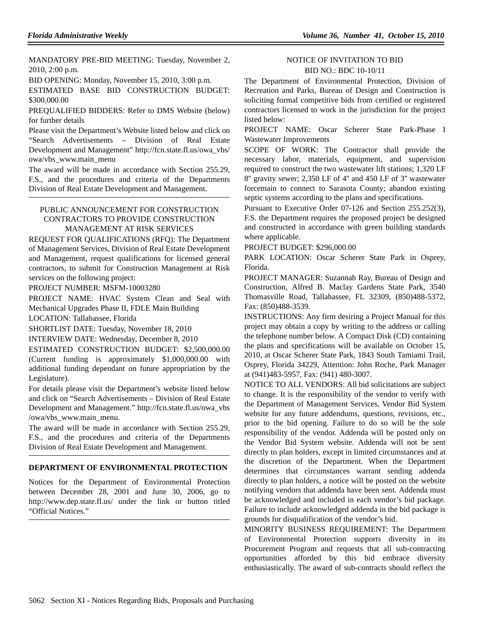MANDATORY PRE-BID MEETING: Tuesday, November 2, 2010, 2:00 p.m.

BID OPENING: Monday, November 15, 2010, 3:00 p.m.

ESTIMATED BASE BID CONSTRUCTION BUDGET: \$300,000.00

PREQUALIFIED BIDDERS: Refer to DMS Website (below) for further details

Please visit the Department's Website listed below and click on "Search Advertisements – Division of Real Estate Development and Management" http://fcn.state.fl.us/owa\_vbs/ owa/vbs\_www.main\_menu

The award will be made in accordance with Section 255.29, F.S., and the procedures and criteria of the Departments Division of Real Estate Development and Management.

# PUBLIC ANNOUNCEMENT FOR CONSTRUCTION CONTRACTORS TO PROVIDE CONSTRUCTION MANAGEMENT AT RISK SERVICES

REQUEST FOR QUALIFICATIONS (RFQ): The Department of Management Services, Division of Real Estate Development and Management, request qualifications for licensed general contractors, to submit for Construction Management at Risk services on the following project:

PROJECT NUMBER: MSFM-10003280

PROJECT NAME: HVAC System Clean and Seal with Mechanical Upgrades Phase II, FDLE Main Building

LOCATION: Tallahassee, Florida

SHORTLIST DATE: Tuesday, November 18, 2010

INTERVIEW DATE: Wednesday, December 8, 2010

ESTIMATED CONSTRUCTION BUDGET: \$2,500,000.00 (Current funding is approximately \$1,000,000.00 with additional funding dependant on future appropriation by the Legislature).

For details please visit the Department's website listed below and click on "Search Advertisements – Division of Real Estate Development and Management." http://fcn.state.fl.us/owa\_vbs /owa/vbs\_www.main\_menu.

The award will be made in accordance with Section 255.29, F.S., and the procedures and criteria of the Departments Division of Real Estate Development and Management.

## **DEPARTMENT OF ENVIRONMENTAL PROTECTION**

Notices for the Department of Environmental Protection between December 28, 2001 and June 30, 2006, go to http://www.dep.state.fl.us/ under the link or button titled "Official Notices."

#### NOTICE OF INVITATION TO BID BID NO.: BDC 10-10/11

The Department of Environmental Protection, Division of Recreation and Parks, Bureau of Design and Construction is soliciting formal competitive bids from certified or registered contractors licensed to work in the jurisdiction for the project listed below:

PROJECT NAME: Oscar Scherer State Park-Phase I Wastewater Improvements

SCOPE OF WORK: The Contractor shall provide the necessary labor, materials, equipment, and supervision required to construct the two wastewater lift stations; 1,320 LF 8'' gravity sewer; 2,350 LF of 4'' and 450 LF of 3'' wastewater forcemain to connect to Sarasota County; abandon existing septic systems according to the plans and specifications.

Pursuant to Executive Order 07-126 and Section 255.252(3), F.S. the Department requires the proposed project be designed and constructed in accordance with green building standards where applicable.

PROJECT BUDGET: \$296,000.00

PARK LOCATION: Oscar Scherer State Park in Osprey, Florida.

PROJECT MANAGER: Suzannah Ray, Bureau of Design and Construction, Alfred B. Maclay Gardens State Park, 3540 Thomasville Road, Tallahassee, FL 32309, (850)488-5372, Fax: (850)488-3539.

INSTRUCTIONS: Any firm desiring a Project Manual for this project may obtain a copy by writing to the address or calling the telephone number below. A Compact Disk (CD) containing the plans and specifications will be available on October 15, 2010, at Oscar Scherer State Park, 1843 South Tamiami Trail, Osprey, Florida 34229, Attention: John Roche, Park Manager at (941)483-5957, Fax: (941) 480-3007.

NOTICE TO ALL VENDORS: All bid solicitations are subject to change. It is the responsibility of the vendor to verify with the Department of Management Services, Vendor Bid System website for any future addendums, questions, revisions, etc., prior to the bid opening. Failure to do so will be the sole responsibility of the vendor. Addenda will be posted only on the Vendor Bid System website. Addenda will not be sent directly to plan holders, except in limited circumstances and at the discretion of the Department. When the Department determines that circumstances warrant sending addenda directly to plan holders, a notice will be posted on the website notifying vendors that addenda have been sent. Addenda must be acknowledged and included in each vendor's bid package. Failure to include acknowledged addenda in the bid package is grounds for disqualification of the vendor's bid.

MINORITY BUSINESS REQUIREMENT: The Department of Environmental Protection supports diversity in its Procurement Program and requests that all sub-contracting opportunities afforded by this bid embrace diversity enthusiastically. The award of sub-contracts should reflect the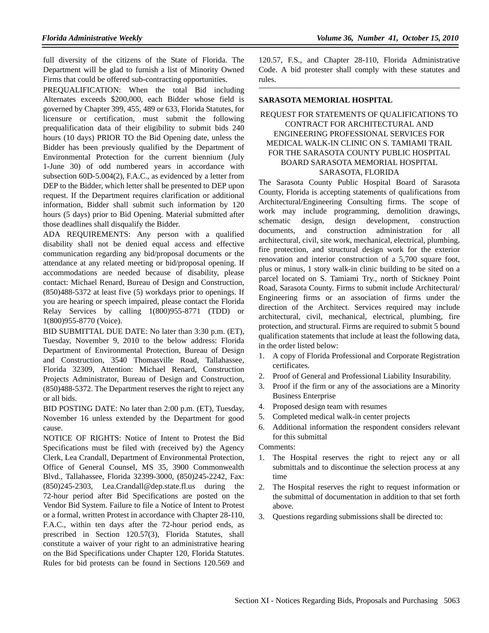full diversity of the citizens of the State of Florida. The Department will be glad to furnish a list of Minority Owned Firms that could be offered sub-contracting opportunities.

PREQUALIFICATION: When the total Bid including Alternates exceeds \$200,000, each Bidder whose field is governed by Chapter 399, 455, 489 or 633, Florida Statutes, for licensure or certification, must submit the following prequalification data of their eligibility to submit bids 240 hours (10 days) PRIOR TO the Bid Opening date, unless the Bidder has been previously qualified by the Department of Environmental Protection for the current biennium (July 1-June 30) of odd numbered years in accordance with subsection 60D-5.004(2), F.A.C., as evidenced by a letter from DEP to the Bidder, which letter shall be presented to DEP upon request. If the Department requires clarification or additional information, Bidder shall submit such information by 120 hours (5 days) prior to Bid Opening. Material submitted after those deadlines shall disqualify the Bidder.

ADA REQUIREMENTS: Any person with a qualified disability shall not be denied equal access and effective communication regarding any bid/proposal documents or the attendance at any related meeting or bid/proposal opening. If accommodations are needed because of disability, please contact: Michael Renard, Bureau of Design and Construction, (850)488-5372 at least five (5) workdays prior to openings. If you are hearing or speech impaired, please contact the Florida Relay Services by calling 1(800)955-8771 (TDD) or 1(800)955-8770 (Voice).

BID SUBMITTAL DUE DATE: No later than 3:30 p.m. (ET), Tuesday, November 9, 2010 to the below address: Florida Department of Environmental Protection, Bureau of Design and Construction, 3540 Thomasville Road, Tallahassee, Florida 32309, Attention: Michael Renard, Construction Projects Administrator, Bureau of Design and Construction, (850)488-5372. The Department reserves the right to reject any or all bids.

BID POSTING DATE: No later than 2:00 p.m. (ET), Tuesday, November 16 unless extended by the Department for good cause.

NOTICE OF RIGHTS: Notice of Intent to Protest the Bid Specifications must be filed with (received by) the Agency Clerk, Lea Crandall, Department of Environmental Protection, Office of General Counsel, MS 35, 3900 Commonwealth Blvd., Tallahassee, Florida 32399-3000, (850)245-2242, Fax: (850)245-2303, Lea.Crandall@dep.state.fl.us during the 72-hour period after Bid Specifications are posted on the Vendor Bid System. Failure to file a Notice of Intent to Protest or a formal, written Protest in accordance with Chapter 28-110, F.A.C., within ten days after the 72-hour period ends, as prescribed in Section 120.57(3), Florida Statutes, shall constitute a waiver of your right to an administrative hearing on the Bid Specifications under Chapter 120, Florida Statutes. Rules for bid protests can be found in Sections 120.569 and

120.57, F.S., and Chapter 28-110, Florida Administrative Code. A bid protester shall comply with these statutes and rules.

#### **SARASOTA MEMORIAL HOSPITAL**

## REQUEST FOR STATEMENTS OF QUALIFICATIONS TO CONTRACT FOR ARCHITECTURAL AND ENGINEERING PROFESSIONAL SERVICES FOR MEDICAL WALK-IN CLINIC ON S. TAMIAMI TRAIL FOR THE SARASOTA COUNTY PUBLIC HOSPITAL BOARD SARASOTA MEMORIAL HOSPITAL SARASOTA, FLORIDA

The Sarasota County Public Hospital Board of Sarasota County, Florida is accepting statements of qualifications from Architectural/Engineering Consulting firms. The scope of work may include programming, demolition drawings, schematic design, design development, construction documents, and construction administration for all architectural, civil, site work, mechanical, electrical, plumbing, fire protection, and structural design work for the exterior renovation and interior construction of a 5,700 square foot, plus or minus, 1 story walk-in clinic building to be sited on a parcel located on S. Tamiami Try., north of Stickney Point Road, Sarasota County. Firms to submit include Architectural/ Engineering firms or an association of firms under the direction of the Architect. Services required may include architectural, civil, mechanical, electrical, plumbing, fire protection, and structural. Firms are required to submit 5 bound qualification statements that include at least the following data, in the order listed below:

- 1. A copy of Florida Professional and Corporate Registration certificates.
- 2. Proof of General and Professional Liability Insurability.
- 3. Proof if the firm or any of the associations are a Minority Business Enterprise
- 4. Proposed design team with resumes
- 5. Completed medical walk-in center projects
- 6. Additional information the respondent considers relevant for this submittal

Comments:

- The Hospital reserves the right to reject any or all submittals and to discontinue the selection process at any time
- 2. The Hospital reserves the right to request information or the submittal of documentation in addition to that set forth above.
- 3. Questions regarding submissions shall be directed to: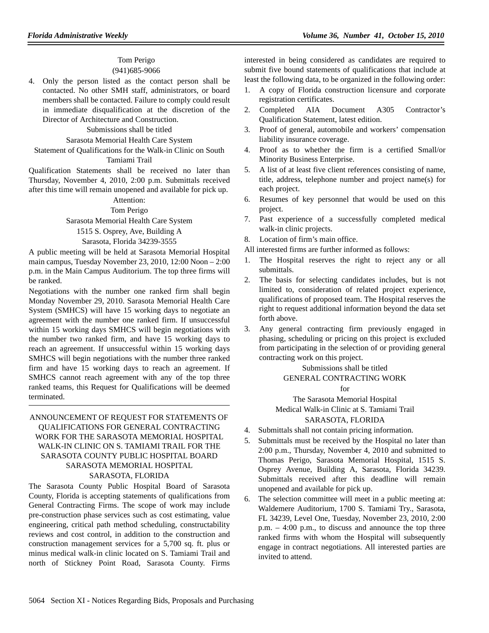# Tom Perigo

# (941)685-9066

4. Only the person listed as the contact person shall be contacted. No other SMH staff, administrators, or board members shall be contacted. Failure to comply could result in immediate disqualification at the discretion of the Director of Architecture and Construction.

#### Submissions shall be titled

#### Sarasota Memorial Health Care System

Statement of Qualifications for the Walk-in Clinic on South Tamiami Trail

Qualification Statements shall be received no later than Thursday, November 4, 2010, 2:00 p.m. Submittals received after this time will remain unopened and available for pick up.

# Attention:

#### Tom Perigo

# Sarasota Memorial Health Care System

# 1515 S. Osprey, Ave, Building A

#### Sarasota, Florida 34239-3555

A public meeting will be held at Sarasota Memorial Hospital main campus, Tuesday November 23, 2010, 12:00 Noon – 2:00 p.m. in the Main Campus Auditorium. The top three firms will be ranked.

Negotiations with the number one ranked firm shall begin Monday November 29, 2010. Sarasota Memorial Health Care System (SMHCS) will have 15 working days to negotiate an agreement with the number one ranked firm. If unsuccessful within 15 working days SMHCS will begin negotiations with the number two ranked firm, and have 15 working days to reach an agreement. If unsuccessful within 15 working days SMHCS will begin negotiations with the number three ranked firm and have 15 working days to reach an agreement. If SMHCS cannot reach agreement with any of the top three ranked teams, this Request for Qualifications will be deemed terminated.

## ANNOUNCEMENT OF REQUEST FOR STATEMENTS OF QUALIFICATIONS FOR GENERAL CONTRACTING WORK FOR THE SARASOTA MEMORIAL HOSPITAL WALK-IN CLINIC ON S. TAMIAMI TRAIL FOR THE SARASOTA COUNTY PUBLIC HOSPITAL BOARD SARASOTA MEMORIAL HOSPITAL SARASOTA, FLORIDA

The Sarasota County Public Hospital Board of Sarasota County, Florida is accepting statements of qualifications from General Contracting Firms. The scope of work may include pre-construction phase services such as cost estimating, value engineering, critical path method scheduling, constructability reviews and cost control, in addition to the construction and construction management services for a 5,700 sq. ft. plus or minus medical walk-in clinic located on S. Tamiami Trail and north of Stickney Point Road, Sarasota County. Firms

interested in being considered as candidates are required to submit five bound statements of qualifications that include at least the following data, to be organized in the following order:

- 1. A copy of Florida construction licensure and corporate registration certificates.
- 2. Completed AIA Document A305 Contractor's Qualification Statement, latest edition.
- 3. Proof of general, automobile and workers' compensation liability insurance coverage.
- 4. Proof as to whether the firm is a certified Small/or Minority Business Enterprise.
- 5. A list of at least five client references consisting of name, title, address, telephone number and project name(s) for each project.
- 6. Resumes of key personnel that would be used on this project.
- 7. Past experience of a successfully completed medical walk-in clinic projects.
- 8. Location of firm's main office.
- All interested firms are further informed as follows:
- 1. The Hospital reserves the right to reject any or all submittals.
- 2. The basis for selecting candidates includes, but is not limited to, consideration of related project experience, qualifications of proposed team. The Hospital reserves the right to request additional information beyond the data set forth above.
- 3. Any general contracting firm previously engaged in phasing, scheduling or pricing on this project is excluded from participating in the selection of or providing general contracting work on this project.

#### Submissions shall be titled

## GENERAL CONTRACTING WORK

#### for

The Sarasota Memorial Hospital Medical Walk-in Clinic at S. Tamiami Trail

# SARASOTA, FLORIDA

- 4. Submittals shall not contain pricing information.
- 5. Submittals must be received by the Hospital no later than 2:00 p.m., Thursday, November 4, 2010 and submitted to Thomas Perigo, Sarasota Memorial Hospital, 1515 S. Osprey Avenue, Building A, Sarasota, Florida 34239. Submittals received after this deadline will remain unopened and available for pick up.
- 6. The selection committee will meet in a public meeting at: Waldemere Auditorium, 1700 S. Tamiami Try., Sarasota, FL 34239, Level One, Tuesday, November 23, 2010, 2:00 p.m. – 4:00 p.m., to discuss and announce the top three ranked firms with whom the Hospital will subsequently engage in contract negotiations. All interested parties are invited to attend.